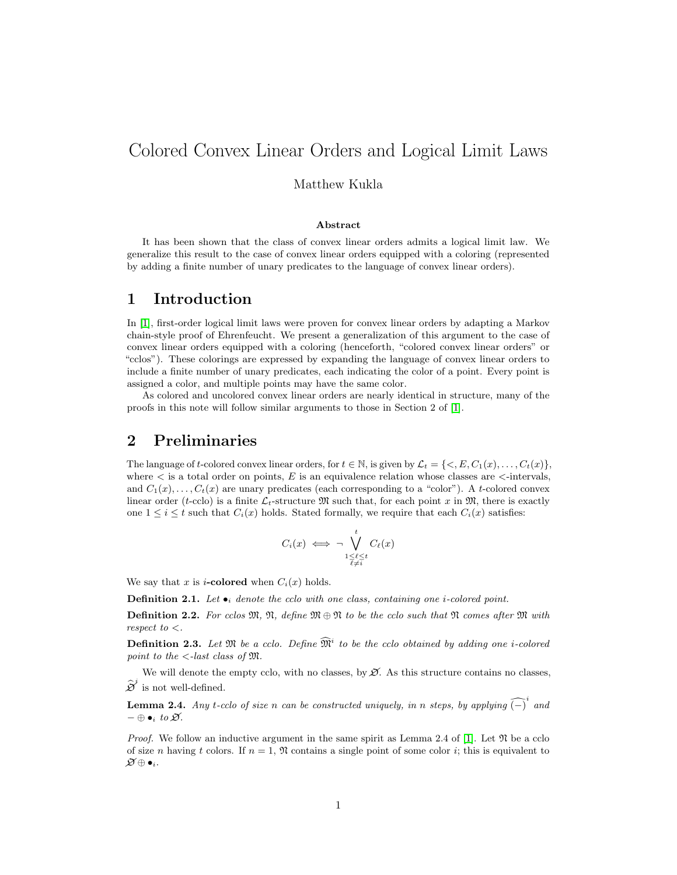# Colored Convex Linear Orders and Logical Limit Laws

Matthew Kukla

#### Abstract

It has been shown that the class of convex linear orders admits a logical limit law. We generalize this result to the case of convex linear orders equipped with a coloring (represented by adding a finite number of unary predicates to the language of convex linear orders).

## 1 Introduction

In [\[1\]](#page-2-0), first-order logical limit laws were proven for convex linear orders by adapting a Markov chain-style proof of Ehrenfeucht. We present a generalization of this argument to the case of convex linear orders equipped with a coloring (henceforth, "colored convex linear orders" or "cclos"). These colorings are expressed by expanding the language of convex linear orders to include a finite number of unary predicates, each indicating the color of a point. Every point is assigned a color, and multiple points may have the same color.

As colored and uncolored convex linear orders are nearly identical in structure, many of the proofs in this note will follow similar arguments to those in Section 2 of [\[1\]](#page-2-0).

### 2 Preliminaries

The language of t-colored convex linear orders, for  $t \in \mathbb{N}$ , is given by  $\mathcal{L}_t = \{<, E, C_1(x), \ldots, C_t(x)\}\$ where  $\lt$  is a total order on points, E is an equivalence relation whose classes are  $\lt$ -intervals, and  $C_1(x), \ldots, C_t(x)$  are unary predicates (each corresponding to a "color"). A t-colored convex linear order (t-cclo) is a finite  $\mathcal{L}_t$ -structure M such that, for each point x in M, there is exactly one  $1 \leq i \leq t$  such that  $C_i(x)$  holds. Stated formally, we require that each  $C_i(x)$  satisfies:

$$
C_i(x) \iff \neg \bigvee_{\substack{1 \leq \ell \leq t \\ \ell \neq i}}^t C_{\ell}(x)
$$

We say that x is *i*-colored when  $C_i(x)$  holds.

**Definition 2.1.** Let  $\bullet_i$  denote the cclo with one class, containing one *i*-colored point.

**Definition 2.2.** For cclos  $\mathfrak{M}, \mathfrak{N},$  define  $\mathfrak{M} \oplus \mathfrak{N}$  to be the cclo such that  $\mathfrak{N}$  comes after  $\mathfrak{M}$  with respect to  $\lt$ .

**Definition 2.3.** Let  $\mathfrak{M}$  be a cclo. Define  $\widehat{\mathfrak{M}}^i$  to be the cclo obtained by adding one *i*-colored point to the  $\langle -\right]$  -last class of  $\mathfrak{M}$ .

We will denote the empty cclo, with no classes, by  $\mathcal X$ . As this structure contains no classes,  $\widehat{\mathcal{D}}^i$  is not well-defined.

**Lemma 2.4.** Any t-cclo of size n can be constructed uniquely, in n steps, by applying  $\widehat{(-)}^i$  and  $-\oplus \bullet_i$  to  $\varnothing$ .

*Proof.* We follow an inductive argument in the same spirit as Lemma 2.4 of [\[1\]](#page-2-0). Let  $\mathfrak{N}$  be a cclo of size n having t colors. If  $n = 1$ ,  $\Re$  contains a single point of some color i; this is equivalent to  $\mathscr{D} \oplus \bullet_i$ .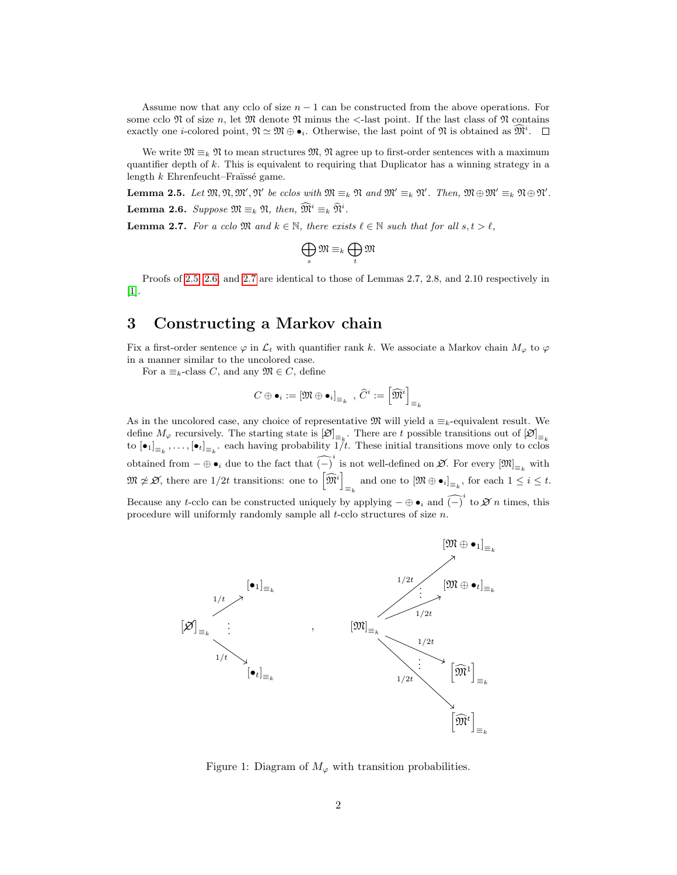Assume now that any cclo of size  $n - 1$  can be constructed from the above operations. For some cclo  $\mathfrak N$  of size n, let  $\mathfrak M$  denote  $\mathfrak N$  minus the  $\lt$ -last point. If the last class of  $\mathfrak N$  contains exactly one *i*-colored point,  $\mathfrak{N} \simeq \mathfrak{M} \oplus \bullet_i$ . Otherwise, the last point of  $\mathfrak{N}$  is obtained as  $\widehat{\mathfrak{M}}^i$ .

We write  $\mathfrak{M} \equiv_k \mathfrak{N}$  to mean structures  $\mathfrak{M}$ ,  $\mathfrak{N}$  agree up to first-order sentences with a maximum quantifier depth of k. This is equivalent to requiring that Duplicator has a winning strategy in a length  $k$  Ehrenfeucht–Fraïssé game.

<span id="page-1-1"></span><span id="page-1-0"></span>**Lemma 2.5.** Let  $\mathfrak{M}, \mathfrak{N}, \mathfrak{M}', \mathfrak{N}'$  be cclos with  $\mathfrak{M} \equiv_k \mathfrak{N}$  and  $\mathfrak{M}' \equiv_k \mathfrak{N}'$ . Then,  $\mathfrak{M} \oplus \mathfrak{M}' \equiv_k \mathfrak{N} \oplus \mathfrak{N}'$ . **Lemma 2.6.** Suppose  $\mathfrak{M} \equiv_k \mathfrak{N}$ , then,  $\widetilde{\mathfrak{M}}^i \equiv_k \widehat{\mathfrak{N}}^i$ .

<span id="page-1-2"></span>**Lemma 2.7.** For a cclo  $\mathfrak{M}$  and  $k \in \mathbb{N}$ , there exists  $\ell \in \mathbb{N}$  such that for all  $s, t > \ell$ ,

$$
\bigoplus_s \mathfrak{M} \equiv_k \bigoplus_t \mathfrak{M}
$$

Proofs of [2.5,](#page-1-0) [2.6,](#page-1-1) and [2.7](#page-1-2) are identical to those of Lemmas 2.7, 2.8, and 2.10 respectively in [\[1\]](#page-2-0).

# <span id="page-1-3"></span>3 Constructing a Markov chain

Fix a first-order sentence  $\varphi$  in  $\mathcal{L}_t$  with quantifier rank k. We associate a Markov chain  $M_\varphi$  to  $\varphi$ in a manner similar to the uncolored case.

For a  $\equiv_k$ -class C, and any  $\mathfrak{M} \in C$ , define

$$
C \oplus \bullet_i := \left[\mathfrak{M} \oplus \bullet_i\right]_{\equiv_k} \ , \ \widehat{C}^i := \left[\widehat{\mathfrak{M}}^i\right]_{\equiv_k}
$$

As in the uncolored case, any choice of representative  $\mathfrak{M}$  will yield a  $\equiv_k$ -equivalent result. We define  $M_{\varphi}$  recursively. The starting state is  $[\varnothing]_{\equiv_k}$ . There are t possible transitions out of  $[\varnothing]_{\equiv_k}$ . to  $[\bullet_1]_{\equiv_k}, \ldots, [\bullet_t]_{\equiv_k}$  each having probability  $1/t$ . These initial transitions move only to cclos obtained from  $-\oplus \bullet_i$  due to the fact that  $\widehat{(-)}^i$  is not well-defined on  $\mathfrak{D}$ . For every  $[\mathfrak{M}]_{\equiv_k}$  with  $\mathfrak{M} \not\simeq \mathcal{B}$ , there are  $1/2t$  transitions: one to  $\left[ \widehat{\mathfrak{M}}^{i} \right]$  $\mathbf{z}_{k} \equiv_{k} \text{ and one to } [\mathfrak{M} \oplus \bullet_i]_{\equiv_k}, \text{ for each } 1 \leq i \leq t.$ Because any t-cclo can be constructed uniquely by applying  $-\oplus \bullet_i$  and  $\widehat{(-)}^i$  to  $\mathscr{D}$  n times, this procedure will uniformly randomly sample all t-cclo structures of size n.



Figure 1: Diagram of  $M_{\varphi}$  with transition probabilities.